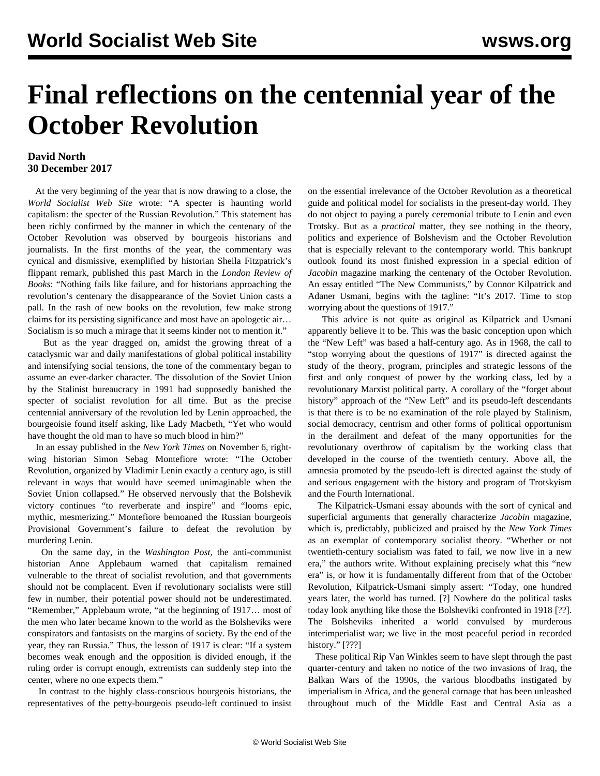## **Final reflections on the centennial year of the October Revolution**

## **David North 30 December 2017**

 At the very beginning of the year that is now drawing to a close, the *World Socialist Web Site* wrote: "A specter is haunting world capitalism: the specter of the Russian Revolution." This statement has been richly confirmed by the manner in which the centenary of the October Revolution was observed by bourgeois historians and journalists. In the first months of the year, the commentary was cynical and dismissive, exemplified by historian Sheila Fitzpatrick's flippant remark, published this past March in the *London Review of Books*: "Nothing fails like failure, and for historians approaching the revolution's centenary the disappearance of the Soviet Union casts a pall. In the rash of new books on the revolution, few make strong claims for its persisting significance and most have an apologetic air… Socialism is so much a mirage that it seems kinder not to mention it."

 But as the year dragged on, amidst the growing threat of a cataclysmic war and daily manifestations of global political instability and intensifying social tensions, the tone of the commentary began to assume an ever-darker character. The dissolution of the Soviet Union by the Stalinist bureaucracy in 1991 had supposedly banished the specter of socialist revolution for all time. But as the precise centennial anniversary of the revolution led by Lenin approached, the bourgeoisie found itself asking, like Lady Macbeth, "Yet who would have thought the old man to have so much blood in him?"

 In an essay published in the *New York Times* on November 6, rightwing historian Simon Sebag Montefiore wrote: "The October Revolution, organized by Vladimir Lenin exactly a century ago, is still relevant in ways that would have seemed unimaginable when the Soviet Union collapsed." He observed nervously that the Bolshevik victory continues "to reverberate and inspire" and "looms epic, mythic, mesmerizing." Montefiore bemoaned the Russian bourgeois Provisional Government's failure to defeat the revolution by murdering Lenin.

 On the same day, in the *Washington Post,* the anti-communist historian Anne Applebaum warned that capitalism remained vulnerable to the threat of socialist revolution, and that governments should not be complacent. Even if revolutionary socialists were still few in number, their potential power should not be underestimated. "Remember," Applebaum wrote, "at the beginning of 1917… most of the men who later became known to the world as the Bolsheviks were conspirators and fantasists on the margins of society. By the end of the year, they ran Russia." Thus, the lesson of 1917 is clear: "If a system becomes weak enough and the opposition is divided enough, if the ruling order is corrupt enough, extremists can suddenly step into the center, where no one expects them."

 In contrast to the highly class-conscious bourgeois historians, the representatives of the petty-bourgeois pseudo-left continued to insist on the essential irrelevance of the October Revolution as a theoretical guide and political model for socialists in the present-day world. They do not object to paying a purely ceremonial tribute to Lenin and even Trotsky. But as a *practical* matter, they see nothing in the theory, politics and experience of Bolshevism and the October Revolution that is especially relevant to the contemporary world. This bankrupt outlook found its most finished expression in a special edition of *Jacobin* magazine marking the centenary of the October Revolution. An essay entitled "The New Communists," by Connor Kilpatrick and Adaner Usmani, begins with the tagline: "It's 2017. Time to stop worrying about the questions of 1917."

 This advice is not quite as original as Kilpatrick and Usmani apparently believe it to be. This was the basic conception upon which the "New Left" was based a half-century ago. As in 1968, the call to "stop worrying about the questions of 1917" is directed against the study of the theory, program, principles and strategic lessons of the first and only conquest of power by the working class, led by a revolutionary Marxist political party. A corollary of the "forget about history" approach of the "New Left" and its pseudo-left descendants is that there is to be no examination of the role played by Stalinism, social democracy, centrism and other forms of political opportunism in the derailment and defeat of the many opportunities for the revolutionary overthrow of capitalism by the working class that developed in the course of the twentieth century. Above all, the amnesia promoted by the pseudo-left is directed against the study of and serious engagement with the history and program of Trotskyism and the Fourth International.

 The Kilpatrick-Usmani essay abounds with the sort of cynical and superficial arguments that generally characterize *Jacobin* magazine, which is, predictably, publicized and praised by the *New York Times* as an exemplar of contemporary socialist theory. "Whether or not twentieth-century socialism was fated to fail, we now live in a new era," the authors write. Without explaining precisely what this "new era" is, or how it is fundamentally different from that of the October Revolution, Kilpatrick-Usmani simply assert: "Today, one hundred years later, the world has turned. [?] Nowhere do the political tasks today look anything like those the Bolsheviki confronted in 1918 [??]. The Bolsheviks inherited a world convulsed by murderous interimperialist war; we live in the most peaceful period in recorded history." [???]

 These political Rip Van Winkles seem to have slept through the past quarter-century and taken no notice of the two invasions of Iraq, the Balkan Wars of the 1990s, the various bloodbaths instigated by imperialism in Africa, and the general carnage that has been unleashed throughout much of the Middle East and Central Asia as a